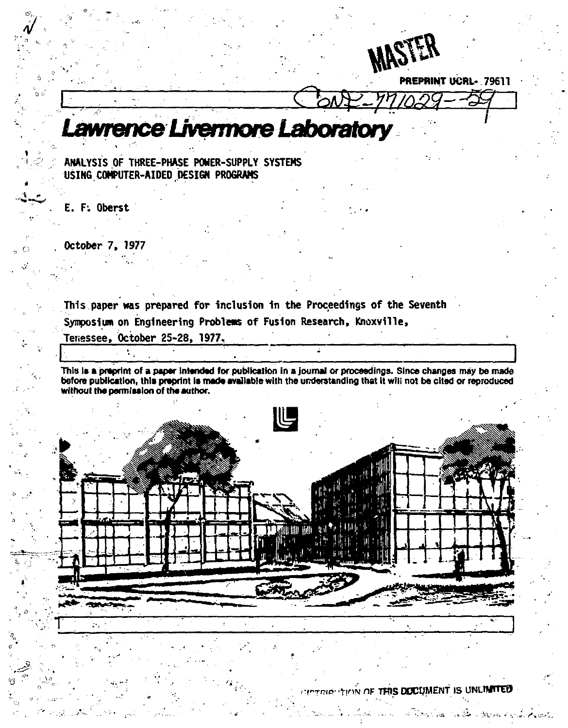

**PREPRINT UCRL- 79611** 

# Lawrence Livermore Laborato

**ANALYSIS OF THREE-PHASE POWER-SUPPLY SYSTEMS USING COMPUTER-AIDED DESIGN PROGRAMS** 

**E. F: Oberst** 

**October 7, 1977** 

**This paper was prepared for inclusion in the Proceedings of the Seventh Symposium on Engineering Problems of Fusion Research, Knoxville, Tetisssee, October 25-28, 1977.** 

**This is a praprint of a paper intended for publication in a journal or proceedings. Since changes may be made before publication, this preprint is made available with the understanding that it win not be cited or reproduced without the permission of the author.** 



**rrrwe - 'YinN nF THIS DOCUMENT IS UNUMTTOT**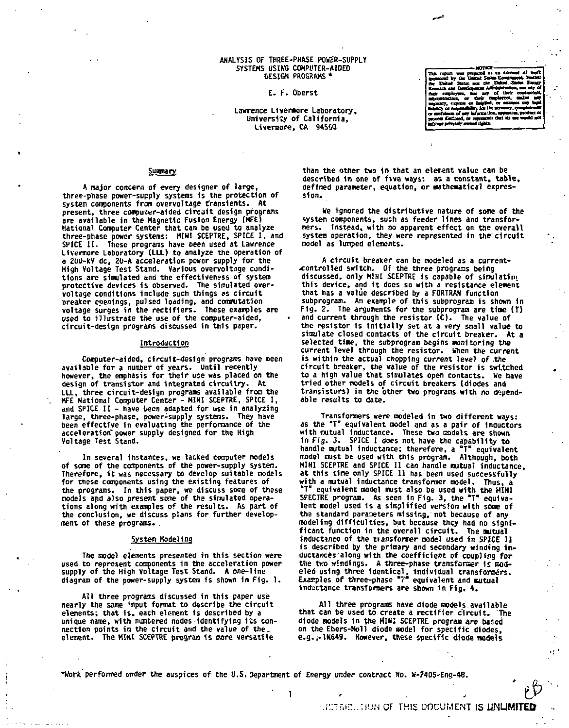#### **ANALYSIS OF THREE-PHASE POWER-SUPPLY SYSTEMS USIKG COMPUTER-AIDED DESIGN PROGRAMS \***

#### **E- F. Oberst**

#### Lawrence Livermore Laboratory, University of California, Liveroore, CA 94550

Summary

A major concern of *every* designer of large, three-phase power-supply systems is the protection of system components from overvoltage transients. At present, three computer-aided circuit design programs are available In the Magnetic Fusion Energy (KFE) National Computer Center that can be used to analyze three-phase power systems: MINI SCEPTRE, SPICE I , and SPICE II. These programs have been used at Lawrence Livermore Laboratory (LLL) to analyze the operation of a 2UU-kV dc, 2U-A acceleration power supply for the High Voltage Test Stand. Various overvoltage conditions are simulated and the effectiveness of system protective devices 1s observed. The simulated overvoltage conditions Include such things as circuit breaker openings, pulsed loading, and commutation voltage surges in the rectifiers. These examples are used to Illustrate the use of the computer-aided, circuit-design programs discussed in this paper.

#### Introduction

Computer-aided, circuit-design programs have been available for a number of years. Until recently however, the emphasis for their use was placed *on* the design of transistor and Integrated circuitry. At LLL, three circuit-design programs available from the MFE National Computer Center - MINI SCEPTRE, SPICE 1, and SPICE II - have been adapted for use in analyzing large, three-phase, power-supply systems. They have been effective in evaluating the performance of the acceleration" power supply designed for the High Voltage Test Stand.

In several instances, we lacked computer models of some of the components of the power-supply system. Therefore, it was necessary to develop suitable models for these components using the existing features of the programs. In this paper, we discuss some of these models and also present some of the simulated operations along with examples of the results. As part of the conclusion, we discuss plans for further development of these programs. .

#### System Modeling

The model elements presented in this section were used to represent components in the acceleration power supply of the High Voltage Test Stand. A one-line diagram of the power-supply system is shown In Fig. 1.

All three programs discussed in this paper *use*  nearly the same 'nput format to describe the circuit elements; that 1s, each element Is described by a unique name, with numbered nodes identifying its connection points in the circuit and the value of the. element. The MINI SCEPTRE program 1s more versatile

than the other two in that an element value can be described In one of five ways: as a constant, table, defined parameter, equation, or Mathematical expression.

We tgnored the distributive nature of some of the system components, such as feeder lines and transfor-mers. Instead, with no apparent effect on the overall system operation, they were represented in the circuit model as lumped elements.

A circuit breaker can be modeled as a current-xontrolled switch. Of the three programs being discussed, only MINI SCEPTRE is capable of simulator)' this device, and it does so with a resistance element that has a value described by a FORTRAN function subprogram. An example of this subprogram is shown 1n Fig. 2. The arguments for the subprogram are tine (T) and current through the resistor (C). The value of the resistor is initially set at a very small value to simulate closed contacts of the circuit breaker. At a selected time, the subprogram begins monitoring the current level through the resistor. When the current Is within the actual chopping current level of .the circuit breaker, the value of the resistor is switched to a high value that simulates open contacts. We have tried other models of circuit breakers (diodes and transistors) in the other two programs with no dependable results to date.

Transformers were modeled in two different ways: as the "T" equivalent model and as a pair of Inductors with mutual inductance. These two models are shown in *fig.* 3. SPICE I does not have the capability to handle mutual Inductance; therefore, a "T" equivalent model must be used with this program. Although, both MINI SCEPTRE and SPICE II can handle mutual inductance. at this time only SPICE 11 has been used successfully with a mutual Inductance transformer model. Thus, a "T" equivalent model must also be used with the HINI SPECTRE program. As seen in Fig. 3, the "T" equivalent model used 1s a simplified version with some of the standard parameters missing, not because of any modeling difficulties, but because they had no significant function 1n the overall circuit. The nutual inductance of the transformer model used in SPICE II is described *by* the primary and secondary winding in ductances'a long with the coefficient of coupling for the two windings. A three-phase transforaer *it* oodeleo using three identical, individual transformers.<br>Examples of three-phase "7" equivalent and mutual<br>inductance transformers.

All three programs have diode models available that can be used to create a rectifier circuit. The diode models in the MINI SCEPTRE program are based on the Ebers-Moll diode model for specific diodes, e.g.,-lN6\*9. However, these specific diode models

1 . The contract of the contract of the contract of  $\mathcal{L}$ 

\*Work performed under the auspices of the U.S. Department of Energy under contract No. W-7405-Eng-48.

mes **Detail** т, - U Johnd States ace<br>ch and Developmen --÷ responsibility for the<br>as of any information i any informati<br>ed, or referent<br>iy *avvaal right*s ------

*i--r^..]\OH* or THIS DOCUMENT IS **UNLIMITED**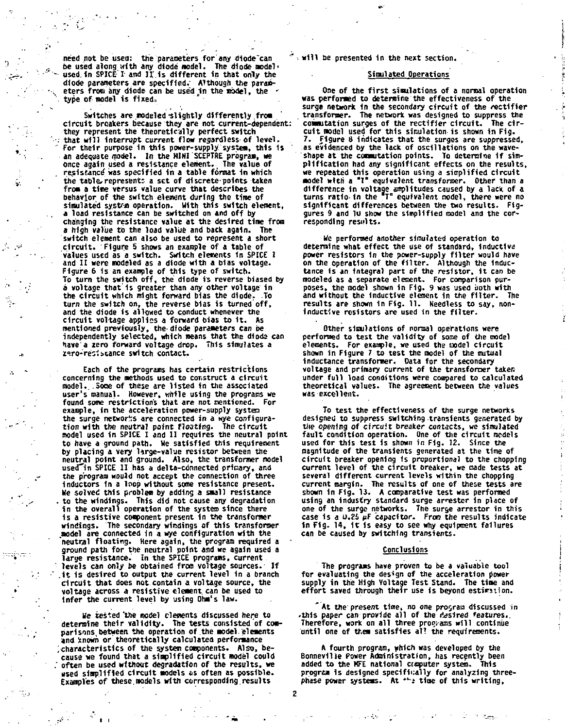need not be used: the parameters for any diode"can be used along with any diode model. The diode aodel' used. In SPICE I and II is different in that only the diode parameters are specified.' Although the param-<br>eters from any diode can be used in the model, the \* type of model is fixed.

Switches are modeled-slightly differently from circuit breakers because they are not current-dependent: they represent the theoretically perfect switch . that wil l interrupt current flow regardless of level. " for their purpose in this power-supply system, this 1s an adequate model. In the MINI SCEPTRE program, we once again used a resistance element. The value of . resistance'was specified in a table format in which the table, represent: a set of discrete-points taken from a time versus value curve that describes the behavior of the switch element during the time of simulated system operation. With this switch element, a load resistance can be switched on and off by changing the resistance value at the desired time from a high value to the load value and back again. The switch element can also be used to represent a short circuit. Figure 5 shows an example of a table of values used as a switch. Switch elements In SPICE 1 and II were modeled as a diode with a bias voltage. Figure 6 is an example of this type of switch. To turn the switch off, the diode is reverse biased by a voltage that 1s greater than any other voltage in the circuit which might forward bias the diode. .To turn the switch on, the reverse bias is turned off,<br>and the switch on, the reverse bias is turned off, circuit voltage applies a forward bias to it. As mentioned previously, the-diode parameters can be mentroned previously, the drope parameters can be<br>independently selected, which means that the diode can<br>have's semi-forward voltage drop. This simulates a have a zero forward voltage drop. This simulates a<br>zero-resistance switch contact.

Each of the programs has certain restrictions concerning the methods used to construct a circuit model.. .Some of these are listed in the associated user's manual. However, while using the programs we found some restrictions that are not mentioned. For example, in the acceleration power-supply systen the surge networks are connected in a wye configura-<br>tion with the neutral point floating. The circuit model used in SPICE I and II requires the neutral point to have a ground path. Me satisfied this requirement by placing a very Urge-value resistor between the neutral point and ground. Also, the transformer model used in SPICE II has a delta-connected primary, and the program would not accept the connection of three inductors in a loop without some resistance present. We solved this problem by adding a small resistance . to the windings. This did not cause any degradation i n the overall operation of the system since there 1s a resistive component present In the transformer windings. The secondary windings of this transformer<br>redships of the secondary windings of this transformer neutral floating. Here again, the program required neutral invatives are equine and we again used a<br>large resistance. In the SPICE programs, current large resistance. *i* it is desired to output the current level in a branch it is desired to output the current level in a branch circuit that does not contain a voltage source, the voltage across a resistive clement can be used to<br>infer the current level by using Ohm's law.

He tested'the model elements discussed here to determine their validity- The tests consisted of comparisons, between the operation of the model 'elements and xnowh or theoretically calculated performance .characteristics of the system components. Also, because we found that a simplified circuit model could often be used without degradation of the results, we used simplified circuit models as often as possible. Examples of these.models with corresponding.results

" *-.* wil l be presented in the next section.

# Simulated Operations

One of the first simulations of a normal operation was performed to determine the effectiveness of the surge network In the secondary circuit of the rectifier transformer. The network was designed to suppress the : commutation surges of the rectifier circuit. The circuit model used for this simulation is shown in Fig. Figure 8 indicates that the surges are suppressed, as evidenced by the lack of oscillations on the waveshape at the commutation points. To determine if simplification had any significant effects on the results, we repeated this operation using a simplified circuit model with a "T" equivalent transformer. Other than a difference in voltage amplitudes caused by a lack of a turns ratio-in the T equivalent model, there were no significant differences between the two results. Figgures 9 and lu show the simplified model and the corresponding results.

We performed another simulated operation to determine what effect the use of standard, inductlva power resistors in the power-supply filter would have<br>on the operation of the filter. Although the inductance is an Integra) part of the resistor, 1t can be modeled as a separate element. For comparison pur-poses, the model shown 1n F1g. 9 was used *both* with and without the inductive element In the filter. The results are shown in Fig. 11. Needless to say, noninductive resistors are used 1n the filter.

Other simulations of normal operations were performed to test the validity of some of the model elements. For example, we used the model circuit shown in Figure 7 to test the model of the mutual Inductance transformer. Data for the secondary voltage and primary current of the transformer taken under full load conditions were compared to calculated theoretical values. The agreement between the values was excellent.

To test the effectiveness of the surge networks designed to suppress switching transients generated by the opening of circuit breaker contacts, we simulated fault condition operation. One of the circuit models used for this test 1s shown in Fig. *\2.* Since the magnitude of the transients generated at the time of circuit breaker opening ts proportional to the chopping current level of the circuit breaker, we made tests at several different current levels within the chopping current margin. The results of one of these tests are shown in F1g. 13. A comparative test was performed using an Industry standard surge arrester 1n place of one of the surge networks. The surge arrestor in this case is a  $0.25$   $\mu$ F capacitor. From the results indicate in Fig. 14, 1t is easy to see why equipment failures can be caused by switching transients.

### Conclusions

The programs have proven to be a valuable tool for evaluating the design of the acceleration power supply in the High Voltage Test Stand. The time and effort saved through their use is beyond estimation.

\* At the present time, no one program discussed in this paper can provide all of the resired features..<br>Therefore, work on all three programs will continue until one of them satisfies al! the requirements.

A fourth program, which was developed by the Bonneville Power Administration, has recently been added to the KFE national computer system. This program is designed specifically for analyzing three-<br>phase power systems. At \*\*± time of this writing,

2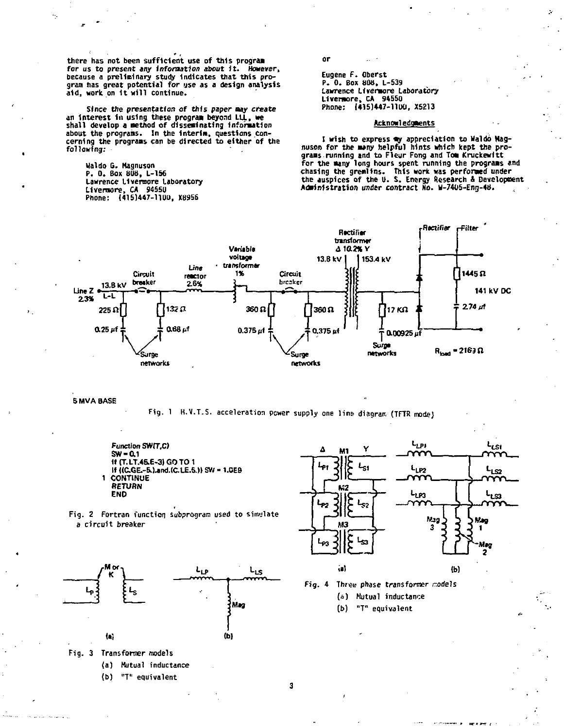there has not been sufficient use of this program for us to present any information about it. However,<br>because a preliminary study indicates that this program has great potential for use as a design analysis aid, work on it will continue.

Since the presentation of this paper may create an interest in using these program beyond LLL, we<br>shall develop a method of disseminating information shout the programs. In the interim, questions con-<br>cerning the programs. In the interim, questions con-<br>cerning the programs can be directed to either of the<br>following:

Waldo G. Magnuson P. 0. Box 808, L-156 Lawrence Livermore Laboratory Livermore, CA 94550<br>Phone: (415)447-1100, X8956

or

Eugene F. Oberst P. 0. Box 808, L-539 Lawrence Livermore Laboratory Livermore, CA 94550 Phone: (415)447-1100, X5213

## Acknowledgeents

I wish to express my appreciation to Waldo Magnuson for the many helpful hints which kept the programs running and to Fleur Fong and Tom Kruckewitt for the many long hours spent running the programs and For the many fours that the present running the programs charged the auspices of the U.S. Energy Research & Development<br>the auspices of the U.S. Energy Research & Development<br>Administration under contract No. W-7405-Eng-48



**5 MVA BASE** 

Fig. 1 H.V.T.S. acceleration power supply one line diagram (TFTR mode)

Function SW(T,C)  $SW = 0.1$ II (T.LT.45.E-3) GO TO 1 If ((C.GE .- 5.) and (C.LE. 5.) SW = 1.0E9 1 CONTINUE RETURN END





(b) "T" equivalent





(a) Mutual inductance

(b) "T" equivalent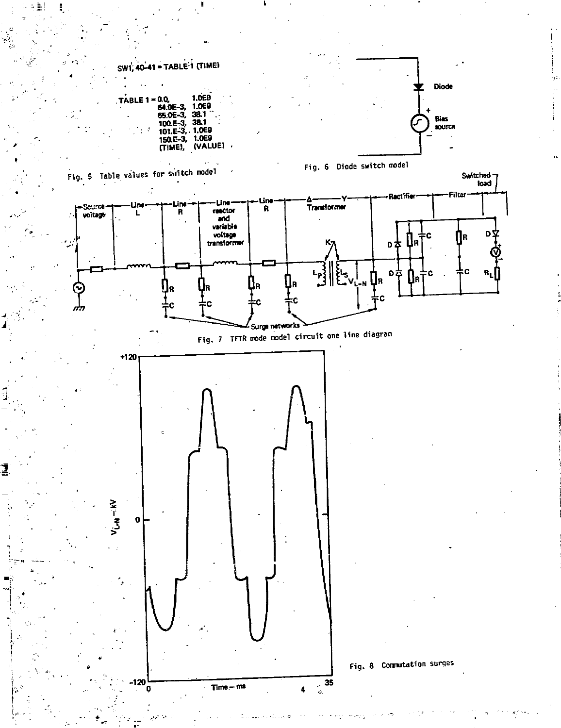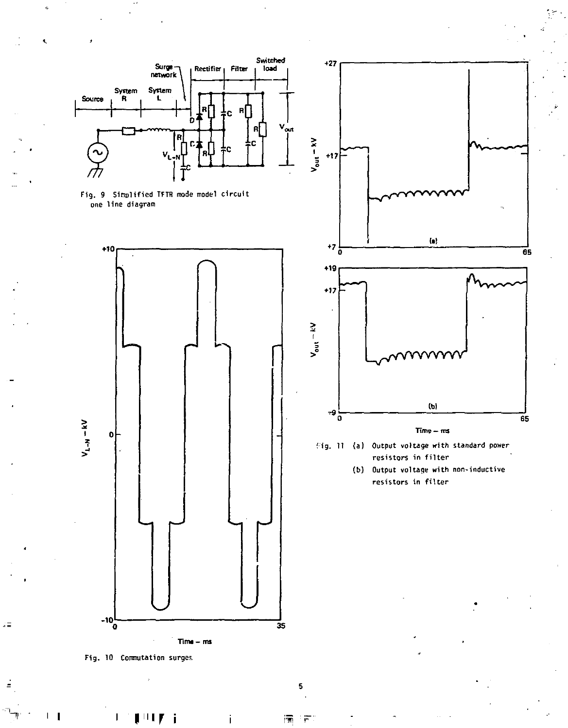

Fig. 10 Commutation surges.

 $\hat{z}$  in

L  $\mathbf{I}$ 

**i I «r i** 

瀆

Î